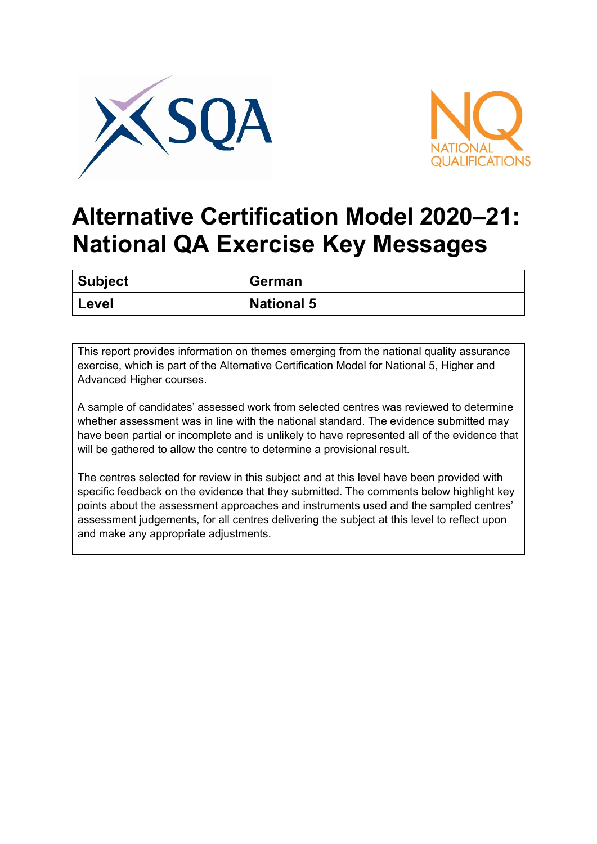



## **Alternative Certification Model 2020–21: National QA Exercise Key Messages**

| Subject | <b>German</b>     |
|---------|-------------------|
| Level   | <b>National 5</b> |

This report provides information on themes emerging from the national quality assurance exercise, which is part of the Alternative Certification Model for National 5, Higher and Advanced Higher courses.

A sample of candidates' assessed work from selected centres was reviewed to determine whether assessment was in line with the national standard. The evidence submitted may have been partial or incomplete and is unlikely to have represented all of the evidence that will be gathered to allow the centre to determine a provisional result.

The centres selected for review in this subject and at this level have been provided with specific feedback on the evidence that they submitted. The comments below highlight key points about the assessment approaches and instruments used and the sampled centres' assessment judgements, for all centres delivering the subject at this level to reflect upon and make any appropriate adjustments.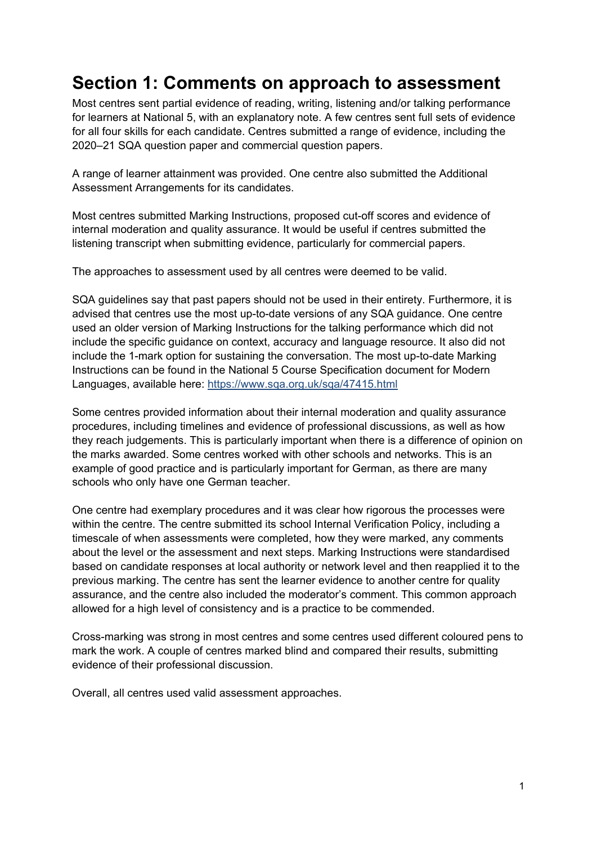## **Section 1: Comments on approach to assessment**

Most centres sent partial evidence of reading, writing, listening and/or talking performance for learners at National 5, with an explanatory note. A few centres sent full sets of evidence for all four skills for each candidate. Centres submitted a range of evidence, including the 2020–21 SQA question paper and commercial question papers.

A range of learner attainment was provided. One centre also submitted the Additional Assessment Arrangements for its candidates.

Most centres submitted Marking Instructions, proposed cut-off scores and evidence of internal moderation and quality assurance. It would be useful if centres submitted the listening transcript when submitting evidence, particularly for commercial papers.

The approaches to assessment used by all centres were deemed to be valid.

SQA guidelines say that past papers should not be used in their entirety. Furthermore, it is advised that centres use the most up-to-date versions of any SQA guidance. One centre used an older version of Marking Instructions for the talking performance which did not include the specific guidance on context, accuracy and language resource. It also did not include the 1-mark option for sustaining the conversation. The most up-to-date Marking Instructions can be found in the National 5 Course Specification document for Modern Languages, available here:<https://www.sqa.org.uk/sqa/47415.html>

Some centres provided information about their internal moderation and quality assurance procedures, including timelines and evidence of professional discussions, as well as how they reach judgements. This is particularly important when there is a difference of opinion on the marks awarded. Some centres worked with other schools and networks. This is an example of good practice and is particularly important for German, as there are many schools who only have one German teacher.

One centre had exemplary procedures and it was clear how rigorous the processes were within the centre. The centre submitted its school Internal Verification Policy, including a timescale of when assessments were completed, how they were marked, any comments about the level or the assessment and next steps. Marking Instructions were standardised based on candidate responses at local authority or network level and then reapplied it to the previous marking. The centre has sent the learner evidence to another centre for quality assurance, and the centre also included the moderator's comment. This common approach allowed for a high level of consistency and is a practice to be commended.

Cross-marking was strong in most centres and some centres used different coloured pens to mark the work. A couple of centres marked blind and compared their results, submitting evidence of their professional discussion.

Overall, all centres used valid assessment approaches.